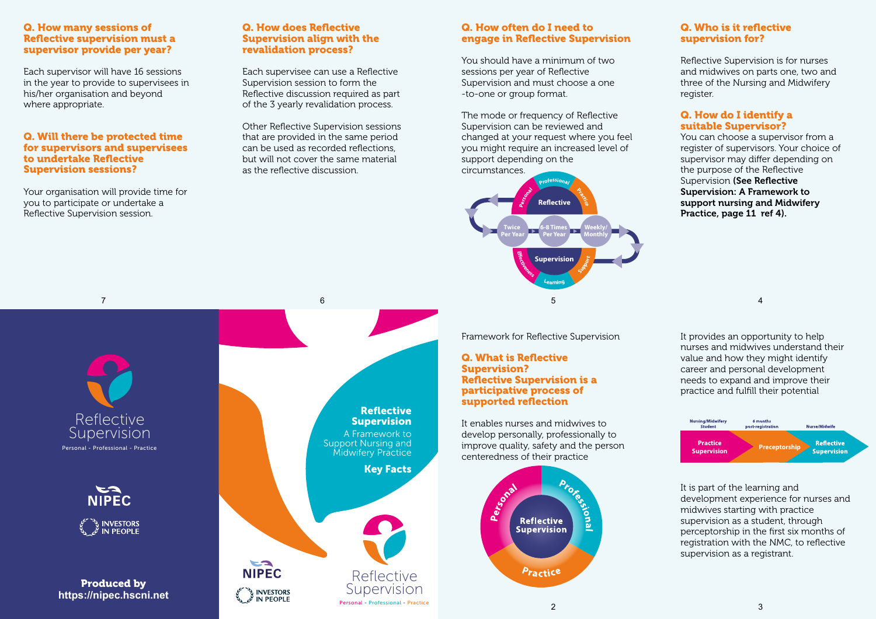## Q. How many sessions of Reflective supervision must a supervisor provide per year?

Each supervisor will have 16 sessions in the year to provide to supervisees in his/her organisation and beyond where appropriate.

## Q. Will there be protected time for supervisors and supervisees to undertake Reflective Supervision sessions?

Your organisation will provide time for you to participate or undertake a Reflective Supervision session.

## Q. How does Reflective Supervision align with the revalidation process?

Each supervisee can use a Reflective Supervision session to form the Reflective discussion required as part of the 3 yearly revalidation process.

Other Reflective Supervision sessions that are provided in the same period can be used as recorded reflections, but will not cover the same material as the reflective discussion.

# Reflective Supervision Personal - Professional - Practice

NIPEC **INVESTORS**<br>**IN PEOPLE** 

Produced by **https://nipec.hscni.net**

# Reflective Supervision A Framework to Support Nursing and **Midwifery Practice** Key Facts



# Q. How often do I need to engage in Reflective Supervision

You should have a minimum of two sessions per year of Reflective Supervision and must choose a one -to-one or group format.

The mode or frequency of Reflective Supervision can be reviewed and changed at your request where you feel you might require an increased level of you might require an increase support depending on the



Framework for Reflective Supervision

## Q. What is Reflective Supervision? Reflective Supervision is a participative process of supported reflection

It enables nurses and midwives to develop personally, professionally to **Figure 12 Constitution**<br> **Figure 12 Practice**<br> **Figure 12 Practice** centeredness of their practice



# Q. Who is it reflective supervision for?

Reflective Supervision is for nurses and midwives on parts one, two and three of the Nursing and Midwifery register.

# Q. How do I identify a suitable Supervisor?

You can choose a supervisor from a register of supervisors. Your choice of supervisor may differ depending on the purpose of the Reflective Supervision (See Reflective Supervision: A Framework to support nursing and Midwifery Practice, page 11 ref 4).

It provides an opportunity to help nurses and midwives understand their value and how they might identify career and personal development needs to expand and improve their practice and fulfill their potential

4



It is part of the learning and development experience for nurses and midwives starting with practice supervision as a student, through perceptorship in the first six months of registration with the NMC, to reflective supervision as a registrant.